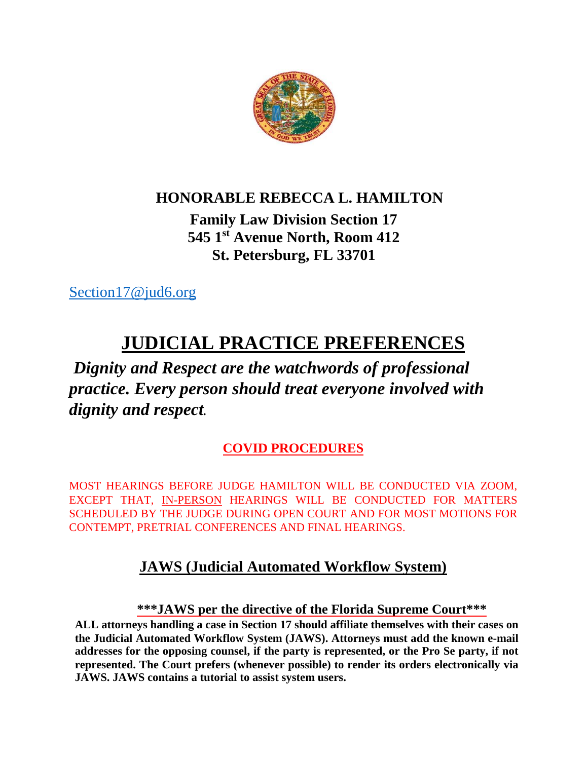

## **HONORABLE REBECCA L. HAMILTON**

## **Family Law Division Section 17 545 1st Avenue North, Room 412 St. Petersburg, FL 33701**

[Section17@jud6.org](mailto:Section17@jud6.org)

# **JUDICIAL PRACTICE PREFERENCES**

## *Dignity and Respect are the watchwords of professional practice. Every person should treat everyone involved with dignity and respect.*

## **COVID PROCEDURES**

MOST HEARINGS BEFORE JUDGE HAMILTON WILL BE CONDUCTED VIA ZOOM, EXCEPT THAT, IN-PERSON HEARINGS WILL BE CONDUCTED FOR MATTERS SCHEDULED BY THE JUDGE DURING OPEN COURT AND FOR MOST MOTIONS FOR CONTEMPT, PRETRIAL CONFERENCES AND FINAL HEARINGS.

## **JAWS (Judicial Automated Workflow System)**

### **\*\*\*JAWS per the directive of the Florida Supreme Court\*\*\***

**ALL attorneys handling a case in Section 17 should affiliate themselves with their cases on the Judicial Automated Workflow System (JAWS). Attorneys must add the known e-mail addresses for the opposing counsel, if the party is represented, or the Pro Se party, if not represented. The Court prefers (whenever possible) to render its orders electronically via JAWS. JAWS contains a tutorial to assist system users.**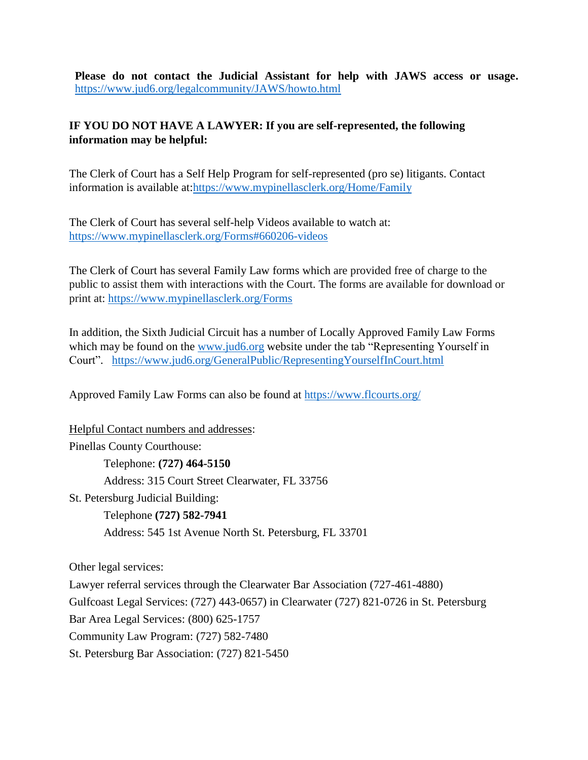**Please do not contact the Judicial Assistant for help with JAWS access or usage.**  <https://www.jud6.org/legalcommunity/JAWS/howto.html>

#### **IF YOU DO NOT HAVE A LAWYER: If you are self-represented, the following information may be helpful:**

The Clerk of Court has a Self Help Program for self-represented (pro se) litigants. Contact information is available at[:https://www.mypinellasclerk.org/Home/Family](https://www.mypinellasclerk.org/Home/Family)

The Clerk of Court has several self-help Videos available to watch at: <https://www.mypinellasclerk.org/Forms#660206-videos>

The Clerk of Court has several Family Law forms which are provided free of charge to the public to assist them with interactions with the Court. The forms are available for download or print at: <https://www.mypinellasclerk.org/Forms>

In addition, the Sixth Judicial Circuit has a number of Locally Approved Family Law Forms which may be found on the [www.jud6.org](http://www.jud6.org/) website under the tab "Representing Yourself in Court". <https://www.jud6.org/GeneralPublic/RepresentingYourselfInCourt.html>

Approved Family Law Forms can also be found at<https://www.flcourts.org/>

Helpful Contact numbers and addresses: Pinellas County Courthouse: Telephone: **(727) 464-5150** Address: 315 Court Street Clearwater, FL 33756 St. Petersburg Judicial Building: Telephone **(727) 582-7941** Address: 545 1st Avenue North St. Petersburg, FL 33701

Other legal services:

Lawyer referral services through the Clearwater Bar Association (727-461-4880) Gulfcoast Legal Services: (727) 443-0657) in Clearwater (727) 821-0726 in St. Petersburg Bar Area Legal Services: (800) 625-1757 Community Law Program: (727) 582-7480 St. Petersburg Bar Association: (727) 821-5450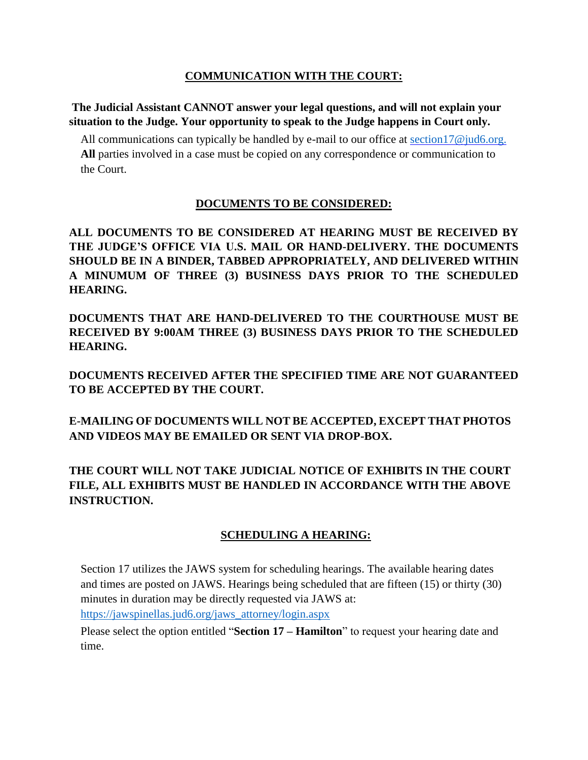#### **COMMUNICATION WITH THE COURT:**

**The Judicial Assistant CANNOT answer your legal questions, and will not explain your situation to the Judge. Your opportunity to speak to the Judge happens in Court only.** 

All communications can typically be handled by e-mail to our office at section  $17@$  jud6.org. **All** parties involved in a case must be copied on any correspondence or communication to the Court.

#### **DOCUMENTS TO BE CONSIDERED:**

**ALL DOCUMENTS TO BE CONSIDERED AT HEARING MUST BE RECEIVED BY THE JUDGE'S OFFICE VIA U.S. MAIL OR HAND-DELIVERY. THE DOCUMENTS SHOULD BE IN A BINDER, TABBED APPROPRIATELY, AND DELIVERED WITHIN A MINUMUM OF THREE (3) BUSINESS DAYS PRIOR TO THE SCHEDULED HEARING.** 

**DOCUMENTS THAT ARE HAND-DELIVERED TO THE COURTHOUSE MUST BE RECEIVED BY 9:00AM THREE (3) BUSINESS DAYS PRIOR TO THE SCHEDULED HEARING.** 

**DOCUMENTS RECEIVED AFTER THE SPECIFIED TIME ARE NOT GUARANTEED TO BE ACCEPTED BY THE COURT.**

**E-MAILING OF DOCUMENTS WILL NOT BE ACCEPTED, EXCEPT THAT PHOTOS AND VIDEOS MAY BE EMAILED OR SENT VIA DROP-BOX.**

**THE COURT WILL NOT TAKE JUDICIAL NOTICE OF EXHIBITS IN THE COURT FILE, ALL EXHIBITS MUST BE HANDLED IN ACCORDANCE WITH THE ABOVE INSTRUCTION.**

#### **SCHEDULING A HEARING:**

Section 17 utilizes the JAWS system for scheduling hearings. The available hearing dates and times are posted on JAWS. Hearings being scheduled that are fifteen (15) or thirty (30) minutes in duration may be directly requested via JAWS at: [https://jawspinellas.jud6.org/jaws\\_attorney/login.aspx](https://jawspinellas.jud6.org/jaws_attorney/login.aspx)

Please select the option entitled "**Section 17 – Hamilton**" to request your hearing date and time.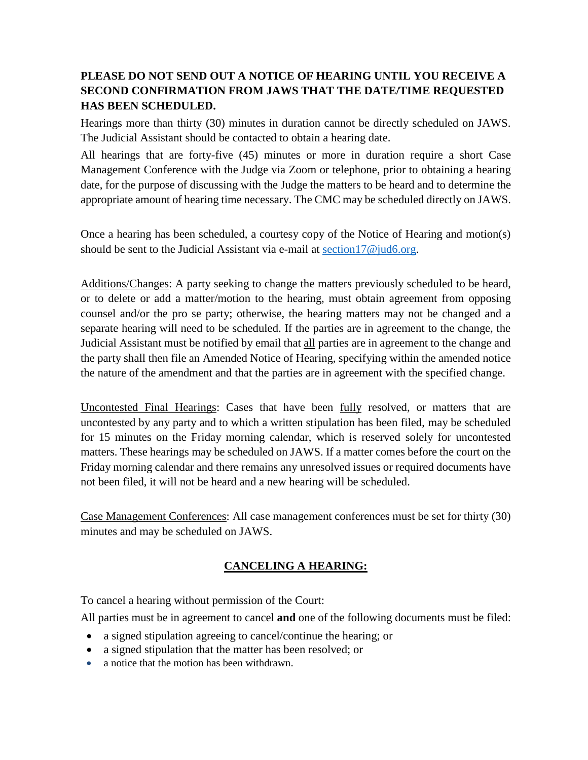#### **PLEASE DO NOT SEND OUT A NOTICE OF HEARING UNTIL YOU RECEIVE A SECOND CONFIRMATION FROM JAWS THAT THE DATE/TIME REQUESTED HAS BEEN SCHEDULED.**

Hearings more than thirty (30) minutes in duration cannot be directly scheduled on JAWS. The Judicial Assistant should be contacted to obtain a hearing date.

All hearings that are forty-five (45) minutes or more in duration require a short Case Management Conference with the Judge via Zoom or telephone, prior to obtaining a hearing date, for the purpose of discussing with the Judge the matters to be heard and to determine the appropriate amount of hearing time necessary. The CMC may be scheduled directly on JAWS.

Once a hearing has been scheduled, a courtesy copy of the Notice of Hearing and motion(s) should be sent to the Judicial Assistant via e-mail at section17 $\omega$  jud6.org.

Additions/Changes: A party seeking to change the matters previously scheduled to be heard, or to delete or add a matter/motion to the hearing, must obtain agreement from opposing counsel and/or the pro se party; otherwise, the hearing matters may not be changed and a separate hearing will need to be scheduled. If the parties are in agreement to the change, the Judicial Assistant must be notified by email that all parties are in agreement to the change and the party shall then file an Amended Notice of Hearing, specifying within the amended notice the nature of the amendment and that the parties are in agreement with the specified change.

Uncontested Final Hearings: Cases that have been fully resolved, or matters that are uncontested by any party and to which a written stipulation has been filed, may be scheduled for 15 minutes on the Friday morning calendar, which is reserved solely for uncontested matters. These hearings may be scheduled on JAWS. If a matter comes before the court on the Friday morning calendar and there remains any unresolved issues or required documents have not been filed, it will not be heard and a new hearing will be scheduled.

Case Management Conferences: All case management conferences must be set for thirty (30) minutes and may be scheduled on JAWS.

#### **CANCELING A HEARING:**

To cancel a hearing without permission of the Court:

All parties must be in agreement to cancel **and** one of the following documents must be filed:

- a signed stipulation agreeing to cancel/continue the hearing; or
- a signed stipulation that the matter has been resolved; or
- a notice that the motion has been withdrawn.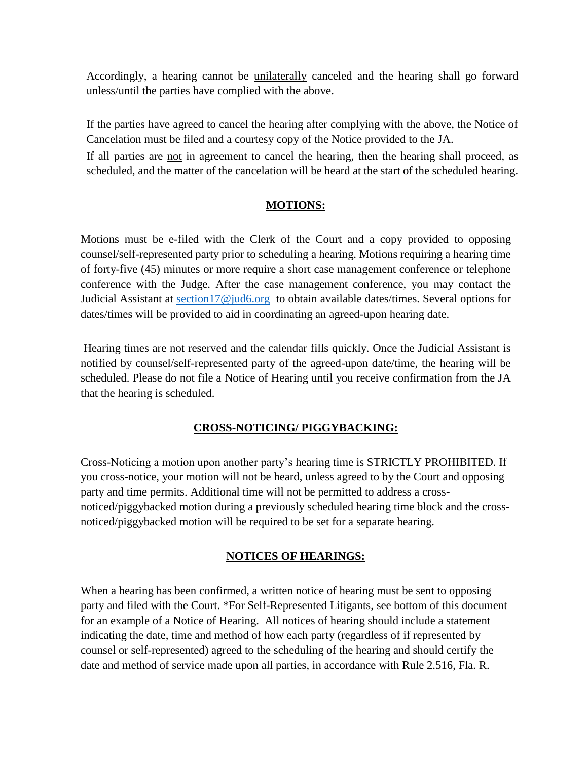Accordingly, a hearing cannot be unilaterally canceled and the hearing shall go forward unless/until the parties have complied with the above.

If the parties have agreed to cancel the hearing after complying with the above, the Notice of Cancelation must be filed and a courtesy copy of the Notice provided to the JA.

If all parties are not in agreement to cancel the hearing, then the hearing shall proceed, as scheduled, and the matter of the cancelation will be heard at the start of the scheduled hearing.

#### **MOTIONS:**

Motions must be e-filed with the Clerk of the Court and a copy provided to opposing counsel/self-represented party prior to scheduling a hearing. Motions requiring a hearing time of forty-five (45) minutes or more require a short case management conference or telephone conference with the Judge. After the case management conference, you may contact the Judicial Assistant at [section17@jud6.org](mailto:section17@jud6.org) to obtain available dates/times. Several options for dates/times will be provided to aid in coordinating an agreed-upon hearing date.

Hearing times are not reserved and the calendar fills quickly. Once the Judicial Assistant is notified by counsel/self-represented party of the agreed-upon date/time, the hearing will be scheduled. Please do not file a Notice of Hearing until you receive confirmation from the JA that the hearing is scheduled.

#### **CROSS-NOTICING/ PIGGYBACKING:**

Cross-Noticing a motion upon another party's hearing time is STRICTLY PROHIBITED. If you cross-notice, your motion will not be heard, unless agreed to by the Court and opposing party and time permits. Additional time will not be permitted to address a crossnoticed/piggybacked motion during a previously scheduled hearing time block and the crossnoticed/piggybacked motion will be required to be set for a separate hearing.

#### **NOTICES OF HEARINGS:**

When a hearing has been confirmed, a written notice of hearing must be sent to opposing party and filed with the Court. \*For Self-Represented Litigants, see bottom of this document for an example of a Notice of Hearing. All notices of hearing should include a statement indicating the date, time and method of how each party (regardless of if represented by counsel or self-represented) agreed to the scheduling of the hearing and should certify the date and method of service made upon all parties, in accordance with Rule 2.516, Fla. R.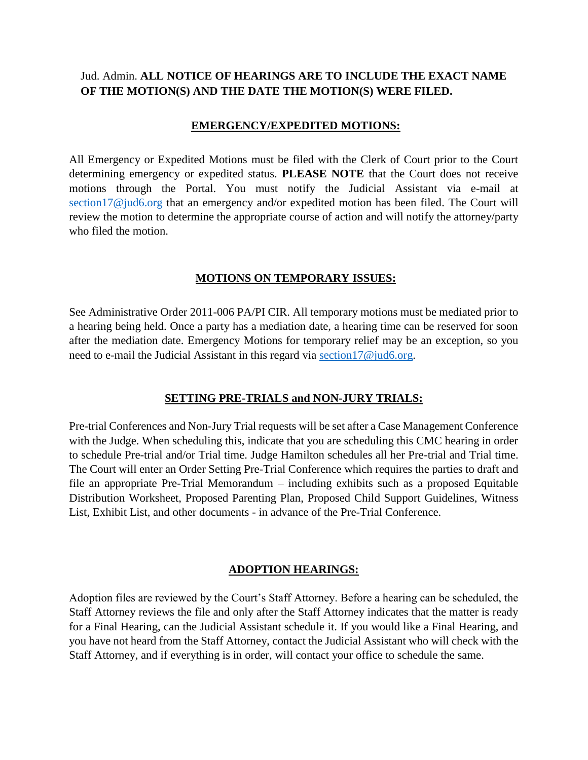#### Jud. Admin. **ALL NOTICE OF HEARINGS ARE TO INCLUDE THE EXACT NAME OF THE MOTION(S) AND THE DATE THE MOTION(S) WERE FILED.**

#### **EMERGENCY/EXPEDITED MOTIONS:**

All Emergency or Expedited Motions must be filed with the Clerk of Court prior to the Court determining emergency or expedited status. **PLEASE NOTE** that the Court does not receive motions through the Portal. You must notify the Judicial Assistant via e-mail at [section17@jud6.org](mailto:section17@jud6.org) that an emergency and/or expedited motion has been filed. The Court will review the motion to determine the appropriate course of action and will notify the attorney/party who filed the motion.

#### **MOTIONS ON TEMPORARY ISSUES:**

See Administrative Order 2011-006 PA/PI CIR. All temporary motions must be mediated prior to a hearing being held. Once a party has a mediation date, a hearing time can be reserved for soon after the mediation date. Emergency Motions for temporary relief may be an exception, so you need to e-mail the Judicial Assistant in this regard via [section17@jud6.org.](mailto:section17@jud6.org)

#### **SETTING PRE-TRIALS and NON-JURY TRIALS:**

Pre-trial Conferences and Non-Jury Trial requests will be set after a Case Management Conference with the Judge. When scheduling this, indicate that you are scheduling this CMC hearing in order to schedule Pre-trial and/or Trial time. Judge Hamilton schedules all her Pre-trial and Trial time. The Court will enter an Order Setting Pre-Trial Conference which requires the parties to draft and file an appropriate Pre-Trial Memorandum – including exhibits such as a proposed Equitable Distribution Worksheet, Proposed Parenting Plan, Proposed Child Support Guidelines, Witness List, Exhibit List, and other documents - in advance of the Pre-Trial Conference.

#### **ADOPTION HEARINGS:**

Adoption files are reviewed by the Court's Staff Attorney. Before a hearing can be scheduled, the Staff Attorney reviews the file and only after the Staff Attorney indicates that the matter is ready for a Final Hearing, can the Judicial Assistant schedule it. If you would like a Final Hearing, and you have not heard from the Staff Attorney, contact the Judicial Assistant who will check with the Staff Attorney, and if everything is in order, will contact your office to schedule the same.